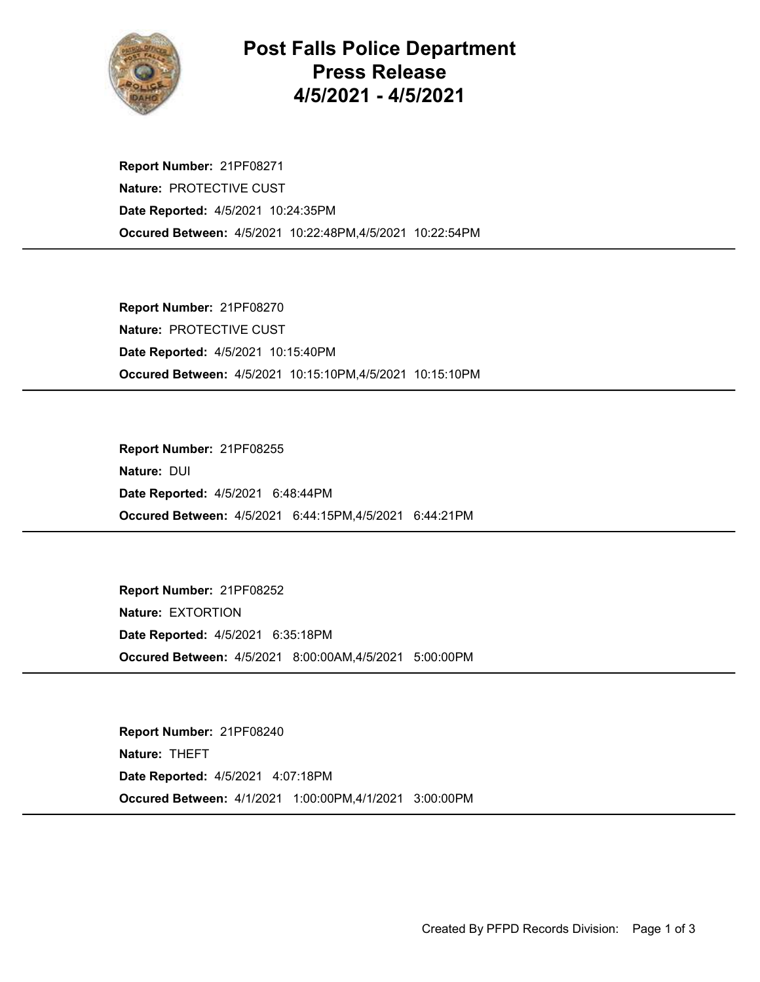

## Post Falls Police Department Press Release 4/5/2021 - 4/5/2021

Occured Between: 4/5/2021 10:22:48PM,4/5/2021 10:22:54PM Report Number: 21PF08271 Nature: PROTECTIVE CUST Date Reported: 4/5/2021 10:24:35PM

Occured Between: 4/5/2021 10:15:10PM,4/5/2021 10:15:10PM Report Number: 21PF08270 Nature: PROTECTIVE CUST Date Reported: 4/5/2021 10:15:40PM

Occured Between: 4/5/2021 6:44:15PM,4/5/2021 6:44:21PM Report Number: 21PF08255 Nature: DUI Date Reported: 4/5/2021 6:48:44PM

Occured Between: 4/5/2021 8:00:00AM,4/5/2021 5:00:00PM Report Number: 21PF08252 Nature: EXTORTION Date Reported: 4/5/2021 6:35:18PM

Occured Between: 4/1/2021 1:00:00PM,4/1/2021 3:00:00PM Report Number: 21PF08240 Nature: THEFT Date Reported: 4/5/2021 4:07:18PM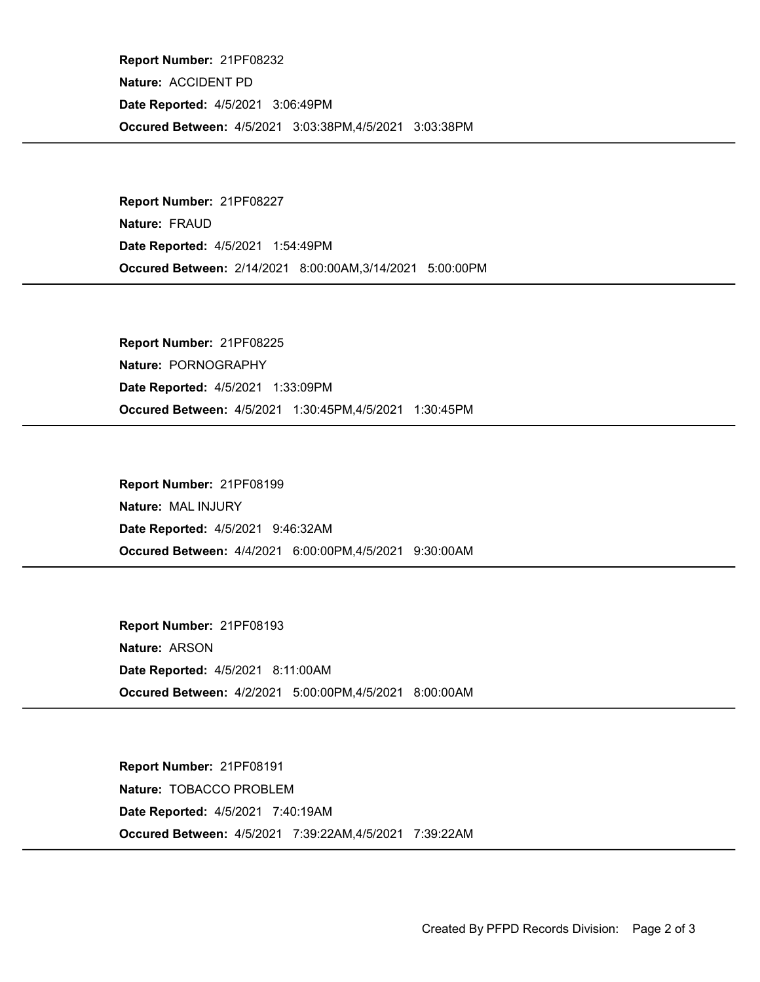Occured Between: 4/5/2021 3:03:38PM,4/5/2021 3:03:38PM Report Number: 21PF08232 Nature: ACCIDENT PD Date Reported: 4/5/2021 3:06:49PM

Occured Between: 2/14/2021 8:00:00AM,3/14/2021 5:00:00PM Report Number: 21PF08227 Nature: FRAUD Date Reported: 4/5/2021 1:54:49PM

Occured Between: 4/5/2021 1:30:45PM,4/5/2021 1:30:45PM Report Number: 21PF08225 Nature: PORNOGRAPHY Date Reported: 4/5/2021 1:33:09PM

Occured Between: 4/4/2021 6:00:00PM,4/5/2021 9:30:00AM Report Number: 21PF08199 Nature: MAL INJURY Date Reported: 4/5/2021 9:46:32AM

Occured Between: 4/2/2021 5:00:00PM,4/5/2021 8:00:00AM Report Number: 21PF08193 Nature: ARSON Date Reported: 4/5/2021 8:11:00AM

Occured Between: 4/5/2021 7:39:22AM,4/5/2021 7:39:22AM Report Number: 21PF08191 Nature: TOBACCO PROBLEM Date Reported: 4/5/2021 7:40:19AM